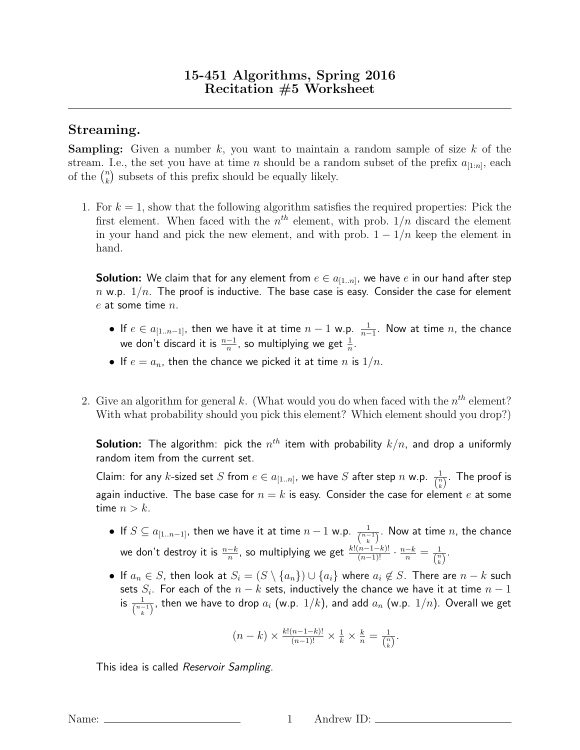## Streaming.

**Sampling:** Given a number k, you want to maintain a random sample of size k of the stream. I.e., the set you have at time *n* should be a random subset of the prefix  $a_{[1:n]}$ , each of the  $\binom{n}{k}$  $\binom{n}{k}$  subsets of this prefix should be equally likely.

1. For  $k = 1$ , show that the following algorithm satisfies the required properties: Pick the first element. When faced with the  $n^{th}$  element, with prob.  $1/n$  discard the element in your hand and pick the new element, and with prob.  $1 - 1/n$  keep the element in hand.

<code>Solution:</code> We claim that for any element from  $e \in a_{[1..n]}$ , we have  $e$  in our hand after step  $n$  w.p.  $1/n$ . The proof is inductive. The base case is easy. Consider the case for element  $e$  at some time  $n$ .

- If  $e \in a_{[1..n-1]}$ , then we have it at time  $n-1$  w.p.  $\frac{1}{n-1}$ . Now at time  $n$ , the chance we don't discard it is  $\frac{n-1}{n}$ , so multiplying we get  $\frac{1}{n}$ .
- If  $e = a_n$ , then the chance we picked it at time n is  $1/n$ .
- 2. Give an algorithm for general k. (What would you do when faced with the  $n^{th}$  element? With what probability should you pick this element? Which element should you drop?)

**Solution:** The algorithm: pick the  $n^{th}$  item with probability  $k/n$ , and drop a uniformly random item from the current set.

Claim: for any  $k$ -sized set  $S$  from  $e\in a_{[1..n]},$  we have  $S$  after step  $n$  w.p.  $\frac{1}{\binom{n}{k}}.$  The proof is again inductive. The base case for  $n = k$  is easy. Consider the case for element e at some time  $n > k$ .

- $\bullet\,$  If  $S\subseteq a_{[1..n-1]},$  then we have it at time  $n-1$  w.p.  $\frac{1}{\binom{n-1}{k}}.$  Now at time  $n,$  the chance we don't destroy it is  $\frac{n-k}{n}$ , so multiplying we get  $\frac{k!(n-1-k)!}{(n-1)!}\cdot\frac{n-k}{n}=\frac{1}{\binom{n}{k}}$  $\frac{1}{\binom{n}{k}}$ .
- If  $a_n \in S$ , then look at  $S_i = (S \setminus \{a_n\}) \cup \{a_i\}$  where  $a_i \notin S$ . There are  $n k$  such sets  $S_i.$  For each of the  $n-k$  sets, inductively the chance we have it at time  $n-1$ is  $\frac{1}{\binom{n-1}{k}}$ , then we have to drop  $a_i$  (w.p.  $1/k$ ), and add  $a_n$  (w.p.  $1/n$ ). Overall we get

$$
(n-k) \times \frac{k!(n-1-k)!}{(n-1)!} \times \frac{1}{k} \times \frac{k}{n} = \frac{1}{\binom{n}{k}}.
$$

This idea is called Reservoir Sampling.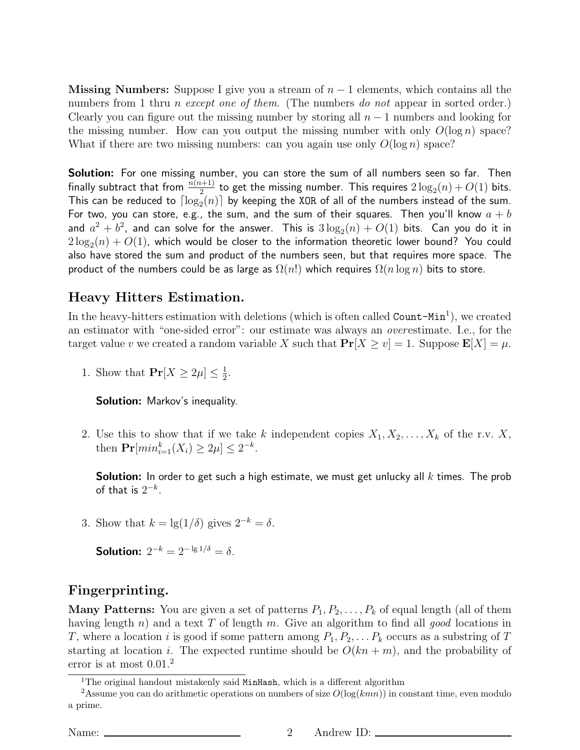**Missing Numbers:** Suppose I give you a stream of  $n - 1$  elements, which contains all the numbers from 1 thru *n* except one of them. (The numbers do not appear in sorted order.) Clearly you can figure out the missing number by storing all  $n-1$  numbers and looking for the missing number. How can you output the missing number with only  $O(\log n)$  space? What if there are two missing numbers: can you again use only  $O(\log n)$  space?

Solution: For one missing number, you can store the sum of all numbers seen so far. Then finally subtract that from  $\frac{n(n+1)}{2}$  to get the missing number. This requires  $2\log_2(n) + O(1)$  bits. This can be reduced to  $\lceil \log_2(n) \rceil$  by keeping the XOR of all of the numbers instead of the sum. For two, you can store, e.g., the sum, and the sum of their squares. Then you'll know  $a + b$ and  $a^2+b^2$ , and can solve for the answer. This is  $3\log_2(n)+O(1)$  bits.  $\,$  Can you do it in  $2\log_2(n)+O(1)$ , which would be closer to the information theoretic lower bound? You could also have stored the sum and product of the numbers seen, but that requires more space. The product of the numbers could be as large as  $\Omega(n!)$  which requires  $\Omega(n \log n)$  bits to store.

## Heavy Hitters Estimation.

In the heavy-hitters estimation with deletions (which is often called  $Count-Min<sup>1</sup>$ ), we created an estimator with "one-sided error": our estimate was always an overestimate. I.e., for the target value v we created a random variable X such that  $Pr[X \ge v] = 1$ . Suppose  $E[X] = \mu$ .

1. Show that  $Pr[X \geq 2\mu] \leq \frac{1}{2}$  $\frac{1}{2}$ .

Solution: Markov's inequality.

2. Use this to show that if we take k independent copies  $X_1, X_2, \ldots, X_k$  of the r.v. X, then  $Pr[min_{i=1}^{k}(X_i) \ge 2\mu] \le 2^{-k}$ .

**Solution:** In order to get such a high estimate, we must get unlucky all  $k$  times. The prob of that is  $2^{-k}$ .

3. Show that  $k = \lg(1/\delta)$  gives  $2^{-k} = \delta$ .

Solution:  $2^{-k} = 2^{-\lg 1/\delta} = \delta$ .

## Fingerprinting.

**Many Patterns:** You are given a set of patterns  $P_1, P_2, \ldots, P_k$  of equal length (all of them having length n) and a text T of length m. Give an algorithm to find all good locations in T, where a location i is good if some pattern among  $P_1, P_2, \ldots, P_k$  occurs as a substring of T starting at location i. The expected runtime should be  $O(kn + m)$ , and the probability of error is at most  $0.01<sup>2</sup>$ 

<sup>&</sup>lt;sup>1</sup>The original handout mistakenly said MinHash, which is a different algorithm

<sup>&</sup>lt;sup>2</sup>Assume you can do arithmetic operations on numbers of size  $O(log(kmn))$  in constant time, even modulo a prime.